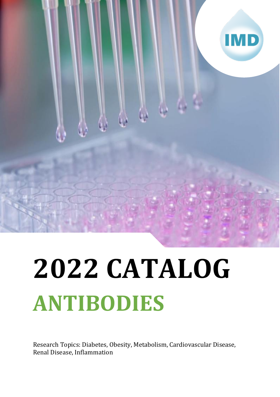

# **2022 CATALOG ANTIBODIES**

Research Topics: Diabetes, Obesity, Metabolism, Cardiovascular Disease, Renal Disease, Inflammation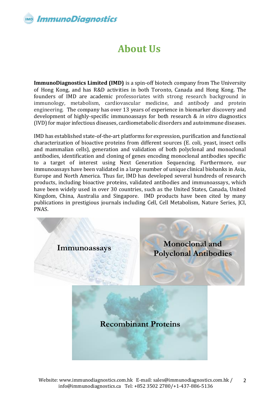# **About Us**

**ImmunoDiagnostics Limited (IMD)** is a spin-off biotech company from The University of Hong Kong, and has R&D activities in both Toronto, Canada and Hong Kong. The founders of IMD are academic professoriates with strong research background in immunology, metabolism, cardiovascular medicine, and antibody and protein engineering. The company has over 13 years of experience in biomarker discovery and development of highly-specific immunoassays for both research & *in vitro* diagnostics (IVD) for major infectious diseases, cardiometabolic disorders and autoimmune diseases.

IMD has established state-of-the-art platforms for expression, purification and functional characterization of bioactive proteins from different sources (E. coli, yeast, insect cells and mammalian cells), generation and validation of both polyclonal and monoclonal antibodies, identification and cloning of genes encoding monoclonal antibodies specific to a target of interest using Next Generation Sequencing. Furthermore, our immunoassays have been validated in a large number of unique clinical biobanks in Asia, Europe and North America. Thus far, IMD has developed several hundreds of research products, including bioactive proteins, validated antibodies and immunoassays, which have been widely used in over 30 countries, such as the United States, Canada, United Kingdom, China, Australia and Singapore. IMD products have been cited by many publications in prestigious journals including Cell, Cell Metabolism, Nature Series, JCI, PNAS.

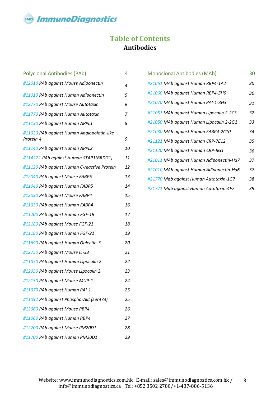**ImmunoDiagnostics** 

### **Table of Contents Antibodies**

| <b>Polyclonal Antibodies (PAb)</b>                      | 4  |
|---------------------------------------------------------|----|
| #12010 PAb against Mouse Adiponectin                    | 4  |
| #11010 PAb against Human Adiponectin                    | 5  |
| #12770 PAb against Mouse Autotaxin                      | 6  |
| #11770 PAb against Human Autotaxin                      | 7  |
| #11130 PAb against Human APPL1                          | 8  |
| #11020 PAb against Human Angiopoietin-like<br>Protein 4 | 9  |
| #11140 PAb against Human APPL2                          | 10 |
| #11A121 PAb against Human STAP1(BRDG1)                  | 11 |
| #11120 PAb against Human C-reactive Protein             | 12 |
| #12040 PAb against Mouse FABP5                          | 13 |
| #11040 PAb against Human FABP5                          | 14 |
| #12030 PAb against Mouse FABP4                          | 15 |
| #11030 PAb against Human FABP4                          | 16 |
| #11200 PAb against Human FGF-19                         | 17 |
| #12180 PAb against Mouse FGF-21                         | 18 |
| #11180 PAb against Human FGF-21                         | 19 |
| #11690 PAb against Human Galectin-3                     | 20 |
| #12750 PAb against Mouse IL-33                          | 21 |
| #11050 PAb against Human Lipocalin 2                    | 22 |
| #12050 PAb against Mouse Lipocalin 2                    | 23 |
| #12150 PAb against Mouse MUP-1                          | 24 |
| #11070 PAb against Human PAI-1                          | 25 |
| #11092 PAb against Phospho-Akt (Ser473)                 | 25 |
| #12060 PAb against Mouse RBP4                           | 26 |
| #11060 PAb against Human RBP4                           | 27 |
| #12700 PAb against Mouse PM20D1                         | 28 |
| #11700 PAb against Human PM20D1                         | 29 |

| <b>Monoclonal Antibodies (MAb)</b>       | 30 |
|------------------------------------------|----|
| #21061 MAb against Human RBP4-1A2        | 30 |
| #21060 MAb against Human RBP4-5H9        | 30 |
| #21070 MAb against Human PAI-1-3H3       | 31 |
| #21051 MAb against Human Lipocalin 2-2C3 | 32 |
| #21050 MAb against Human Lipocalin 2-2G1 | 33 |
| #21030 MAb against Human FABP4-2C10      | 34 |
| #21121 MAb against Human CRP-7E12        | 35 |
| #21120 MAb against Human CRP-8G1         | 36 |
| #21011 MAb against Human Adiponectin-Ha7 | 37 |
| #21010 MAb against Human Adiponectin-Ha6 | 37 |
| #21770 Mab against Human Autotaxin-1G7   | 38 |
| #21771 Mab against Human Autotaxin-4F7   | 39 |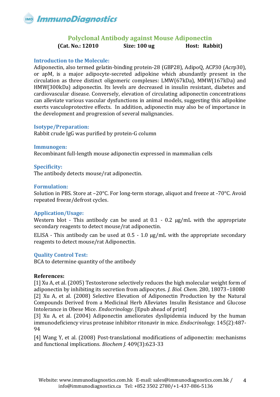

### **Polyclonal Antibody against Mouse Adiponectin**

**(Cat. No.: 12010 Size: 100 ug Host: Rabbit)**

### <span id="page-3-0"></span>**Introduction to the Molecule:**

Adiponectin, also termed gelatin-binding protein-28 (GBP28), AdipoQ, ACP30 (Acrp30), or apM, is a major adipocyte-secreted adipokine which abundantly present in the circulation as three distinct oligomeric complexes: LMW(67kDa), MMW(167kDa) and HMW(300kDa) adiponectin. Its levels are decreased in insulin resistant, diabetes and cardiovascular disease. Conversely, elevation of circulating adiponectin concentrations can alleviate various vascular dysfunctions in animal models, suggesting this adipokine exerts vasculoprotective effects. In addition, adiponectin may also be of importance in the development and progression of several malignancies.

### **Isotype/Preparation:**

Rabbit crude IgG was purified by protein-G column

**Immunogen:** Recombinant full-length mouse adiponectin expressed in mammalian cells

### **Specificity:**

The antibody detects mouse/rat adiponectin.

### **Formulation:**

Solution in PBS. Store at –20°C. For long-term storage, aliquot and freeze at -70°C. Avoid repeated freeze/defrost cycles.

### **Application/Usage:**

Western blot - This antibody can be used at 0.1 - 0.2 μg/mL with the appropriate secondary reagents to detect mouse/rat adiponectin.

ELISA - This antibody can be used at 0.5 - 1.0 μg/mL with the appropriate secondary reagents to detect mouse/rat Adiponectin.

### **Quality Control Test:**

BCA to determine quantity of the antibody

### **References:**

[1] Xu A, et al. (2005) Testosterone selectively reduces the high molecular weight form of adiponectin by inhibiting its secretion from adipocytes. *J. Biol. Chem.* 280, 18073–18080 [2] Xu A, et al. (2008) [Selective Elevation of Adiponectin Production by the Natural](http://www.ncbi.nlm.nih.gov/pubmed/18927219?ordinalpos=2&itool=EntrezSystem2.PEntrez.Pubmed.Pubmed_ResultsPanel.Pubmed_DefaultReportPanel.Pubmed_RVDocSum)  [Compounds Derived from a Medicinal Herb Alleviates Insulin Resistance and Glucose](http://www.ncbi.nlm.nih.gov/pubmed/18927219?ordinalpos=2&itool=EntrezSystem2.PEntrez.Pubmed.Pubmed_ResultsPanel.Pubmed_DefaultReportPanel.Pubmed_RVDocSum)  [Intolerance in Obese Mice.](http://www.ncbi.nlm.nih.gov/pubmed/18927219?ordinalpos=2&itool=EntrezSystem2.PEntrez.Pubmed.Pubmed_ResultsPanel.Pubmed_DefaultReportPanel.Pubmed_RVDocSum) *Endocrinology*. [Epub ahead of print]

[3] Xu A, et al. (2004) [Adiponectin ameliorates dyslipidemia induced by the human](http://www.ncbi.nlm.nih.gov/pubmed/14592951?ordinalpos=27&itool=EntrezSystem2.PEntrez.Pubmed.Pubmed_ResultsPanel.Pubmed_DefaultReportPanel.Pubmed_RVDocSum)  [immunodeficiency virus protease inhibitor ritonavir in mice.](http://www.ncbi.nlm.nih.gov/pubmed/14592951?ordinalpos=27&itool=EntrezSystem2.PEntrez.Pubmed.Pubmed_ResultsPanel.Pubmed_DefaultReportPanel.Pubmed_RVDocSum) *Endocrinology.* 145(2):487- 94

[4] Wang Y, et al. (2008) [Post-translational modifications of adiponectin: mechanisms](http://www.ncbi.nlm.nih.gov/pubmed/18177270?ordinalpos=7&itool=EntrezSystem2.PEntrez.Pubmed.Pubmed_ResultsPanel.Pubmed_DefaultReportPanel.Pubmed_RVDocSum)  [and functional implications.](http://www.ncbi.nlm.nih.gov/pubmed/18177270?ordinalpos=7&itool=EntrezSystem2.PEntrez.Pubmed.Pubmed_ResultsPanel.Pubmed_DefaultReportPanel.Pubmed_RVDocSum) *Biochem J.* 409(3):623-33

4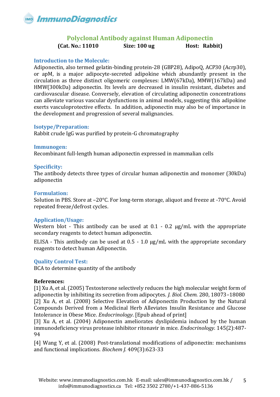

### **Polyclonal Antibody against Human Adiponectin**

**(Cat. No.: 11010 Size: 100 ug Host: Rabbit)**

### <span id="page-4-0"></span>**Introduction to the Molecule:**

Adiponectin, also termed gelatin-binding protein-28 (GBP28), AdipoQ, ACP30 (Acrp30), or apM, is a major adipocyte-secreted adipokine which abundantly present in the circulation as three distinct oligomeric complexes: LMW(67kDa), MMW(167kDa) and HMW(300kDa) adiponectin. Its levels are decreased in insulin resistant, diabetes and cardiovascular disease. Conversely, elevation of circulating adiponectin concentrations can alleviate various vascular dysfunctions in animal models, suggesting this adipokine exerts vasculoprotective effects. In addition, adiponectin may also be of importance in the development and progression of several malignancies.

### **Isotype/Preparation:**

Rabbit crude IgG was purified by protein-G chromatography

### **Immunogen:**

Recombinant full-length human adiponectin expressed in mammalian cells

### **Specificity:**

The antibody detects three types of circular human adiponectin and monomer (30kDa) adiponectin

### **Formulation:**

Solution in PBS. Store at –20°C. For long-term storage, aliquot and freeze at -70°C. Avoid repeated freeze/defrost cycles.

### **Application/Usage:**

Western blot - This antibody can be used at 0.1 - 0.2 μg/mL with the appropriate secondary reagents to detect human adiponectin.

ELISA - This antibody can be used at 0.5 - 1.0 μg/mL with the appropriate secondary reagents to detect human Adiponectin.

### **Quality Control Test:**

BCA to determine quantity of the antibody

### **References:**

[1] Xu A, et al. (2005) Testosterone selectively reduces the high molecular weight form of adiponectin by inhibiting its secretion from adipocytes. *J. Biol. Chem.* 280, 18073–18080 [2] Xu A, et al. (2008) [Selective Elevation of Adiponectin Production by the Natural](http://www.ncbi.nlm.nih.gov/pubmed/18927219?ordinalpos=2&itool=EntrezSystem2.PEntrez.Pubmed.Pubmed_ResultsPanel.Pubmed_DefaultReportPanel.Pubmed_RVDocSum)  [Compounds Derived from a Medicinal Herb Alleviates Insulin Resistance and Glucose](http://www.ncbi.nlm.nih.gov/pubmed/18927219?ordinalpos=2&itool=EntrezSystem2.PEntrez.Pubmed.Pubmed_ResultsPanel.Pubmed_DefaultReportPanel.Pubmed_RVDocSum)  [Intolerance in Obese Mice.](http://www.ncbi.nlm.nih.gov/pubmed/18927219?ordinalpos=2&itool=EntrezSystem2.PEntrez.Pubmed.Pubmed_ResultsPanel.Pubmed_DefaultReportPanel.Pubmed_RVDocSum) *Endocrinology*. [Epub ahead of print]

[3] Xu A, et al. (2004) [Adiponectin ameliorates dyslipidemia induced by the human](http://www.ncbi.nlm.nih.gov/pubmed/14592951?ordinalpos=27&itool=EntrezSystem2.PEntrez.Pubmed.Pubmed_ResultsPanel.Pubmed_DefaultReportPanel.Pubmed_RVDocSum)  [immunodeficiency virus protease inhibitor ritonavir in mice.](http://www.ncbi.nlm.nih.gov/pubmed/14592951?ordinalpos=27&itool=EntrezSystem2.PEntrez.Pubmed.Pubmed_ResultsPanel.Pubmed_DefaultReportPanel.Pubmed_RVDocSum) *Endocrinology.* 145(2):487- 94

[4] Wang Y, et al. (2008) [Post-translational modifications of adiponectin: mechanisms](http://www.ncbi.nlm.nih.gov/pubmed/18177270?ordinalpos=7&itool=EntrezSystem2.PEntrez.Pubmed.Pubmed_ResultsPanel.Pubmed_DefaultReportPanel.Pubmed_RVDocSum)  [and functional implications.](http://www.ncbi.nlm.nih.gov/pubmed/18177270?ordinalpos=7&itool=EntrezSystem2.PEntrez.Pubmed.Pubmed_ResultsPanel.Pubmed_DefaultReportPanel.Pubmed_RVDocSum) *Biochem J.* 409(3):623-33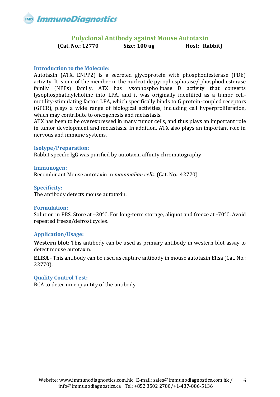<span id="page-5-0"></span>

### **Polyclonal Antibody against Mouse Autotaxin**

**(Cat. No.: 12770 Size: 100 ug Host: Rabbit)**

### **Introduction to the Molecule:**

Autotaxin (ATX, ENPP2) is a secreted glycoprotein with phosphodiesterase (PDE) activity. It is one of the member in the nucleotide pyrophosphatase/ phosphodiesterase family (NPPs) family. ATX has lysophospholipase D activity that converts lysophosphatidylcholine into LPA, and it was originally identified as a tumor cellmotility-stimulating factor. LPA, which specifically binds to G protein-coupled receptors (GPCR), plays a wide range of biological activities, including cell hyperproliferation, which may contribute to oncogenesis and metastasis.

ATX has been to be overexpressed in many tumor cells, and thus plays an important role in tumor development and metastasis. In addition, ATX also plays an important role in nervous and immune systems.

### **Isotype/Preparation:**

Rabbit specific IgG was purified by autotaxin affinity chromatography

### **Immunogen:**

Recombinant Mouse autotaxin in *mammalian cells*. (Cat. No.: 42770)

### **Specificity:**

The antibody detects mouse autotaxin.

### **Formulation:**

Solution in PBS. Store at –20°C. For long-term storage, aliquot and freeze at -70°C. Avoid repeated freeze/defrost cycles.

### **Application/Usage:**

**Western blot:** This antibody can be used as primary antibody in western blot assay to detect mouse autotaxin.

**ELISA** - This antibody can be used as capture antibody in mouse autotaxin Elisa (Cat. No.: 32770).

### **Quality Control Test:**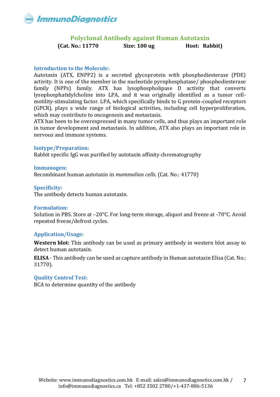<span id="page-6-0"></span>

### **Polyclonal Antibody against Human Autotaxin**

**(Cat. No.: 11770 Size: 100 ug Host: Rabbit)**

### **Introduction to the Molecule:**

Autotaxin (ATX, ENPP2) is a secreted glycoprotein with phosphodiesterase (PDE) activity. It is one of the member in the nucleotide pyrophosphatase/ phosphodiesterase family (NPPs) family. ATX has lysophospholipase D activity that converts lysophosphatidylcholine into LPA, and it was originally identified as a tumor cellmotility-stimulating factor. LPA, which specifically binds to G protein-coupled receptors (GPCR), plays a wide range of biological activities, including cell hyperproliferation, which may contribute to oncogenesis and metastasis.

ATX has been to be overexpressed in many tumor cells, and thus plays an important role in tumor development and metastasis. In addition, ATX also plays an important role in nervous and immune systems.

### **Isotype/Preparation:**

Rabbit specific IgG was purified by autotaxin affinity chromatography

### **Immunogen:**

Recombinant human autotaxin in *mammalian cells*. (Cat. No.: 41770)

### **Specificity:**

The antibody detects human autotaxin.

### **Formulation:**

Solution in PBS. Store at –20°C. For long-term storage, aliquot and freeze at -70°C. Avoid repeated freeze/defrost cycles.

### **Application/Usage:**

**Western blot:** This antibody can be used as primary antibody in western blot assay to detect human autotaxin.

**ELISA** - This antibody can be used as capture antibody in Human autotaxin Elisa (Cat. No.: 31770).

### **Quality Control Test:**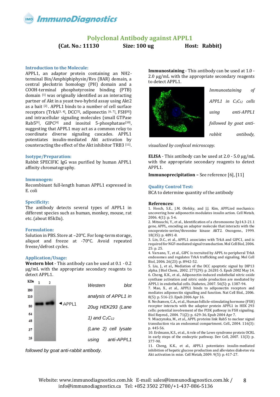<span id="page-7-0"></span>

### **Polyclonal Antibody against APPL1**

**(Cat. No.: 11130 Size: 100 ug Host: Rabbit)**

#### **Introduction to the Molecule:**

APPL1, an adaptor protein containing an NH2 terminal Bin/Amphiphiphysin/Rvs (BAR) domain, a central pleckstrin homology (PH) domain and a COOH-terminal phosphotyrosine binding (PTB) domain [1] was originally identified as an interacting partner of Akt in a yeast two-hybrid assay using Akt2 as a bait [2] . APPL1 binds to a number of cell surface receptors (TrkA $[3, 4]$ , DCC $[5]$ , adiponectin  $[6, 7]$ , FSH $[8]$ ) and intracellular signaling molecules (small GTPase Rab $5^{[9]}$ , GIPC<sup>[4]</sup> and inositol 5-phosphatase<sup>[10]</sup>, suggesting that APPL1 may act as a common relay to coordinate diverse signaling cascades. APPL1 potentiates insulin-mediated Akt activation by counteracting the effect of the Akt inhibitor TRB3 [11].

#### **Isotype/Preparation:**

Rabbit SPECIFIC IgG was purified by human APPL1 affinity chromatography.

#### **Immunogen:**

Recombinant full-length human APPL1 expressed in E. coli

#### **Specificity:**

The antibody detects several types of APPL1 in different species such as human, monkey, mouse, rat etc. (about 85kDa).

#### **Formulation:**

Solution in PBS. Store at –20°C. For long-term storage, aliquot and freeze at -70°C. Avoid repeated freeze/defrost cycles.

#### **Application/Usage:**

**Western blot** - This antibody can be used at 0.1 - 0.2 μg/mL with the appropriate secondary reagents to detect APPL1.



*followed by goat anti-rabbit antibody.*

**Immunostaining** - This antibody can be used at 1.0 - 2.0 μg/mL with the appropriate secondary reagents to detect APPL1.



*visualized by confocal microscopy.*

**ELISA** - This antibody can be used at 2.0 - 5.0 μg/mL with the appropriate secondary reagents to detect APPL1.

**Immunoprecipitation –** See reference [6], [11]

#### **Quality Control Test:**

BCA to determine quantity of the antibody

#### **References:**

1. Hosch, S.E., J.M. Olefsky, and J.J. Kim, APPLied mechanics: uncovering how adiponectin modulates insulin action. Cell Metab, 2006. 4(1): p. 5-6.

2. Mitsuuchi, Y., et al., Identification of a chromosome 3p14.3-21.1 gene, APPL, encoding an adaptor molecule that interacts with the oncoprotein-serine/threonine kinase AKT2. Oncogene., 1999. 18(35): p. 4891-8.

3. Lin, D.C., et al., APPL1 associates with TrkA and GIPC1, and is required for NGF-mediated signal transduction. Mol Cell Biol, 2006. 25: p. 25.

4. Varsano, T., et al., GIPC is recruited by APPL to peripheral TrkA endosomes and regulates TrkA trafficking and signaling. Mol Cell Biol, 2006. 26(23): p. 8942-52.

5. Liu, J., et al., Mediation of the DCC apoptotic signal by DIP13 alpha. J Biol Chem., 2002. 277(29): p. 26281-5. Epub 2002 May 14. 6. Cheng, K.K., et al., Adiponectin-induced endothelial nitric oxide synthase activation and nitric oxide production are mediated by APPL1 in endothelial cells. Diabetes, 2007. 56(5): p. 1387-94.

7. Mao, X., et al., APPL1 binds to adiponectin receptors and mediates adiponectin signalling and function. Nat Cell Biol., 2006. 8(5): p. 516-23. Epub 2006 Apr 16.

8. Nechamen, C.A., et al., Human follicle-stimulating hormone (FSH) receptor interacts with the adaptor protein APPL1 in HEK 293 cells: potential involvement of the PI3K pathway in FSH signaling. Biol Reprod., 2004. 71(2): p. 629-36. Epub 2004 Apr 7.

9. Miaczynska, M., et al., APPL proteins link Rab5 to nuclear signal transduction via an endosomal compartment. Cell., 2004. 116(3): p. 445-56.

10. Erdmann, K.S., et al., A role of the Lowe syndrome protein OCRL in early steps of the endocytic pathway. Dev Cell, 2007. 13(3): p. 377-90.

11. Cheng, K.K., et al., APPL1 potentiates insulin-mediated inhibition of hepatic glucose production and alleviates diabetes via Akt activation in mice. Cell Metab, 2009. 9(5): p. 417-27.

8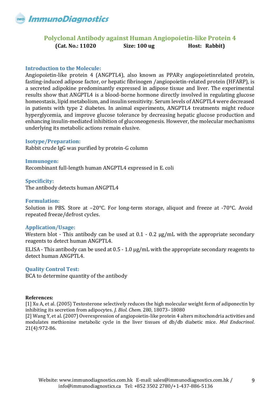

### <span id="page-8-0"></span>**Polyclonal Antibody against Human Angiopoietin-like Protein 4 (Cat. No.: 11020 Size: 100 ug Host: Rabbit)**

### **Introduction to the Molecule:**

Angiopoietin-like protein 4 (ANGPTL4), also known as PPARγ angiopoietinrelated protein, fasting-induced adipose factor, or hepatic fibrinogen /angiopoietin-related protein (HFARP), is a secreted adipokine predominantly expressed in adipose tissue and liver. The experimental results show that ANGPTL4 is a blood-borne hormone directly involved in regulating glucose homeostasis, lipid metabolism, and insulin sensitivity. Serum levels of ANGPTL4 were decreased in patients with type 2 diabetes. In animal experiments, ANGPTL4 treatments might reduce hyperglycemia, and improve glucose tolerance by decreasing hepatic glucose production and enhancing insulin-mediated inhibition of gluconeogenesis. However, the molecular mechanisms underlying its metabolic actions remain elusive.

### **Isotype/Preparation:**

Rabbit crude IgG was purified by protein-G column

**Immunogen:** Recombinant full-length human ANGPTL4 expressed in E. coli

### **Specificity:**

The antibody detects human ANGPTL4

#### **Formulation:**

Solution in PBS. Store at –20°C. For long-term storage, aliquot and freeze at -70°C. Avoid repeated freeze/defrost cycles.

### **Application/Usage:**

Western blot - This antibody can be used at 0.1 - 0.2 μg/mL with the appropriate secondary reagents to detect human ANGPTL4.

ELISA - This antibody can be used at 0.5 - 1.0 μg/mL with the appropriate secondary reagents to detect human ANGPTL4.

### **Quality Control Test:**

BCA to determine quantity of the antibody

#### **References:**

[1] Xu A, et al. (2005) Testosterone selectively reduces the high molecular weight form of adiponectin by inhibiting its secretion from adipocytes. *J. Biol. Chem.* 280, 18073–18080

[2] Wang Y, et al. (2007) Overexpression of angiopoietin-like protein 4 alters mitochondria activities and modulates methionine metabolic cycle in the liver tissues of db/db diabetic mice. *Mol Endocrinol*. 21(4):972-86.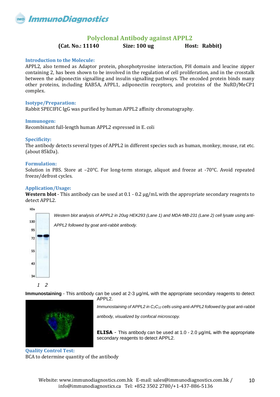

### **Polyclonal Antibody against APPL2**

**(Cat. No.: 11140 Size: 100 ug Host: Rabbit)**

#### <span id="page-9-0"></span>**Introduction to the Molecule:**

APPL2, also termed as Adaptor protein, phosphotyrosine interaction, PH domain and leucine zipper containing 2, has been shown to be involved in the regulation of cell proliferation, and in the crosstalk between the adiponectin signalling and insulin signalling pathways. The encoded protein binds many other proteins, including RAB5A, APPL1, adiponectin receptors, and proteins of the NuRD/MeCP1 complex.

#### **Isotype/Preparation:**

Rabbit SPECIFIC IgG was purified by human APPL2 affinity chromatography.

#### **Immunogen:**

Recombinant full-length human APPL2 expressed in E. coli

#### **Specificity:**

The antibody detects several types of APPL2 in different species such as human, monkey, mouse, rat etc. (about 85kDa).

#### **Formulation:**

Solution in PBS. Store at –20°C. For long-term storage, aliquot and freeze at -70°C. Avoid repeated freeze/defrost cycles.

#### **Application/Usage:**

**Western blot** - This antibody can be used at 0.1 - 0.2 μg/mL with the appropriate secondary reagents to detect APPL2.



**Immunostaining** - This antibody can be used at 2-3 μg/mL with the appropriate secondary reagents to detect



APPL2.

*Immunostaining of APPL2 in C2C<sup>12</sup> cells using anti-APPL2 followed by goat anti-rabbit* 

*antibody, visualized by confocal microscopy.*

**ELISA** - This antibody can be used at 1.0 - 2.0 μg/mL with the appropriate secondary reagents to detect APPL2.

**Quality Control Test:** BCA to determine quantity of the antibody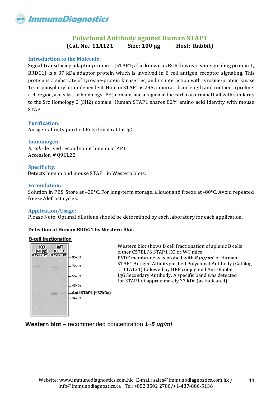### **Polyclonal Antibody against Human STAP1 (Cat. No.: 11A121 Size: 100 µg Host: Rabbit)**

### <span id="page-10-0"></span>**Introduction to the Molecule:**

Signal-transducing adaptor protein 1 (STAP1; also known as BCR downstream-signaling protein 1, BRDG1) is a 37 kDa adaptor protein which is involved in B cell antigen receptor signaling. This protein is a substrate of tyrosine-protein kinase Tec, and its interaction with tyrosine-protein kinase Tec is phosphorylation-dependent. Human STAP1 is 295 amino acids in length and contains a prolinerich region, a pleckstrin homology (PH) domain, and a region in the carboxy terminal half with similarity to the Src Homology 2 (SH2) domain. Human STAP1 shares 82% amino acid identity with mouse STAP1.

### **Purification:**

Antigen-affinity purified Polyclonal rabbit IgG

### **Immunogen:**

*E. coli*-derived recombinant human STAP1 Accession *#* Q9ULZ2

### **Specificity:**

Detects human and mouse STAP1 in Western blots.

### **Formulation:**

Solution in PBS. Store at –20°C. For long-term storage, aliquot and freeze at -80°C. Avoid repeated freeze/defrost cycles.

### **Application/Usage:**

Please Note: Optimal dilutions should be determined by each laboratory for each application.

### **Detection of Human BRDG1 by Western Blot.**

### **B-cell fractionation**



**Western blot –** recommended concentration *1~5 ug/ml*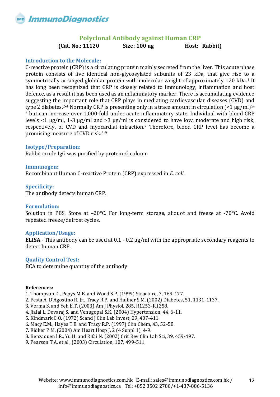

### **Polyclonal Antibody against Human CRP**

**(Cat. No.: 11120 Size: 100 ug Host: Rabbit)**

### <span id="page-11-0"></span>**Introduction to the Molecule:**

C-reactive protein (CRP) is a circulating protein mainly secreted from the liver. This acute phase protein consists of five identical non-glycosylated subunits of 23 kDa, that give rise to a symmetrically arranged globular protein with molecular weight of approximately 120 kDa.<sup>1</sup> It has long been recognized that CRP is closely related to immunology, inflammation and host defence, as a result it has been used as an inflammatory marker. There is accumulating evidence suggesting the important role that CRP plays in mediating cardiovascular diseases (CVD) and type 2 diabetes.<sup>2-4</sup> Normally CRP is presenting only in a trace amount in circulation  $\leq 1 \mu g/ml$ <sup>5-</sup> <sup>6</sup> but can increase over 1,000-fold under acute inflammatory state. Individual with blood CRP levels <1 µg/ml, 1-3 µg/ml and >3 µg/ml is considered to have low, moderate and high risk, respectively, of CVD and myocardial infraction.<sup>7</sup> Therefore, blood CRP level has become a promising measure of CVD risk.8-9

### **Isotype/Preparation:**

Rabbit crude IgG was purified by protein-G column

### **Immunogen:**

Recombinant Human C-reactive Protein (CRP) expressed in *E. coli*.

### **Specificity:**

The antibody detects human CRP.

### **Formulation:**

Solution in PBS. Store at –20°C. For long-term storage, aliquot and freeze at -70°C. Avoid repeated freeze/defrost cycles.

### **Application/Usage:**

**ELISA** - This antibody can be used at 0.1 - 0.2 μg/ml with the appropriate secondary reagents to detect human CRP.

### **Quality Control Test:**

BCA to determine quantity of the antibody

### **References:**

- 1. Thompson D., Pepys M.B. and Wood S.P. (1999) Structure, 7, 169-177.
- 2. Festa A, D'Agostino R. Jr., Tracy R.P. and Haffner S.M. (2002) Diabetes, 51, 1131-1137.
- 3. Verma S. and Yeh E.T. (2003) Am J Physiol, 285, R1253-R1258.
- 4. Jialal I., Devaraj S. and Venugopal S.K. (2004) Hypertension, 44, 6-11.
- 5. Kindmark C.O. (1972) Scand J Clin Lab Invest, 29, 407-411.
- 6. Macy E.M., Hayes T.E. and Tracy R.P. (1997) Clin Chem, 43, 52-58.
- 7. Ridker P.M. (2004) Am Heart Hosp J, 2 (4 Suppl 1), 4-9.
- 8. Benzaquen l.R., Yu H. and Rifai N. (2002) Crit Rev Clin Lab Sci, 39, 459-497.
- 9. Pearson T.A. et al., (2003) Circulation, 107, 499-511.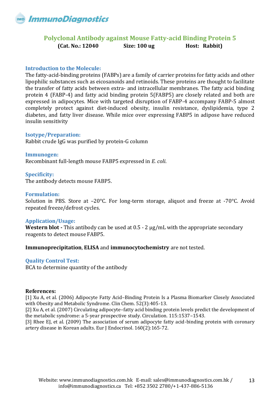

### <span id="page-12-0"></span>**Polyclonal Antibody against Mouse Fatty-acid Binding Protein 5 (Cat. No.: 12040 Size: 100 ug Host: Rabbit)**

### **Introduction to the Molecule:**

The fatty-acid-binding proteins (FABPs) are a family of carrier proteins for fatty acids and other lipophilic substances such as eicosanoids and retinoids. These proteins are thought to facilitate the transfer of fatty acids between extra- and intracellular membranes. The fatty acid binding protein 4 (FABP-4) and fatty acid binding protein 5(FABP5) are closely related and both are expressed in adipocytes. Mice with targeted disruption of FABP-4 accompany FABP-5 almost completely protect against diet-induced obesity, insulin resistance, dyslipidemia, type 2 diabetes, and fatty liver disease. While mice over expressing FABP5 in adipose have reduced insulin sensitivity

### **Isotype/Preparation:**

Rabbit crude IgG was purified by protein-G column

**Immunogen:** Recombinant full-length mouse FABP5 expressed in *E. coli*.

**Specificity:** The antibody detects mouse FABP5.

### **Formulation:**

Solution in PBS. Store at –20°C. For long-term storage, aliquot and freeze at -70°C. Avoid repeated freeze/defrost cycles.

### **Application/Usage:**

**Western blot -** This antibody can be used at 0.5 - 2 μg/mL with the appropriate secondary reagents to detect mouse FABP5.

**Immunoprecipitation**, **ELISA** and **immunocytochemistry** are not tested.

### **Quality Control Test:**

BCA to determine quantity of the antibody

### **References:**

[1] Xu A, et al. (2006) Adipocyte Fatty Acid–Binding Protein Is a Plasma Biomarker Closely Associated with Obesity and Metabolic Syndrome. Clin Chem. 52(3):405-13.

[2] Xu A, et al. (2007) Circulating adipocyte-fatty acid binding protein levels predict the development of the metabolic syndrome: a 5-year prospective study. Circulation. 115:1537–1543.

[3] Rhee EJ, et al. (2009) The association of serum adipocyte fatty acid-binding protein with coronary artery disease in Korean adults. Eur J Endocrinol. 160(2):165-72.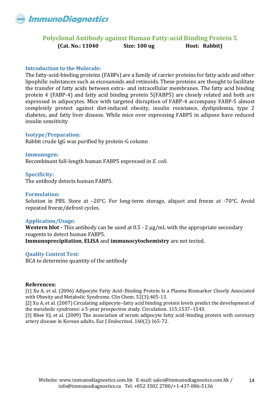

### <span id="page-13-0"></span>**Polyclonal Antibody against Human Fatty-acid Binding Protein 5 (Cat. No.: 11040 Size: 100 ug Host: Rabbit)**

### **Introduction to the Molecule:**

The fatty-acid-binding proteins (FABPs) are a family of carrier proteins for fatty acids and other lipophilic substances such as eicosanoids and retinoids. These proteins are thought to facilitate the transfer of fatty acids between extra- and intracellular membranes. The fatty acid binding protein 4 (FABP-4) and fatty acid binding protein 5(FABP5) are closely related and both are expressed in adipocytes. Mice with targeted disruption of FABP-4 accompany FABP-5 almost completely protect against diet-induced obesity, insulin resistance, dyslipidemia, type 2 diabetes, and fatty liver disease. While mice over expressing FABP5 in adipose have reduced insulin sensitivity

### **Isotype/Preparation:**

Rabbit crude IgG was purified by protein-G column

**Immunogen:** Recombinant full-length human FABP5 expressed in *E. coli*.

**Specificity:** The antibody detects human FABP5.

### **Formulation:**

Solution in PBS. Store at –20°C. For long-term storage, aliquot and freeze at -70°C. Avoid repeated freeze/defrost cycles.

### **Application/Usage:**

**Western blot -** This antibody can be used at 0.5 - 2 μg/mL with the appropriate secondary reagents to detect human FABP5.

**Immunoprecipitation**, **ELISA** and **immunocytochemistry** are not tested.

### **Quality Control Test:**

BCA to determine quantity of the antibody

### **References:**

[1] Xu A, et al. (2006) Adipocyte Fatty Acid–Binding Protein Is a Plasma Biomarker Closely Associated with Obesity and Metabolic Syndrome. Clin Chem. 52(3):405-13.

[2] Xu A, et al. (2007) Circulating adipocyte-fatty acid binding protein levels predict the development of the metabolic syndrome: a 5-year prospective study. Circulation. 115:1537–1543.

[3] Rhee EJ, et al. (2009) The association of serum adipocyte fatty acid-binding protein with coronary artery disease in Korean adults. Eur J Endocrinol. 160(2):165-72.

14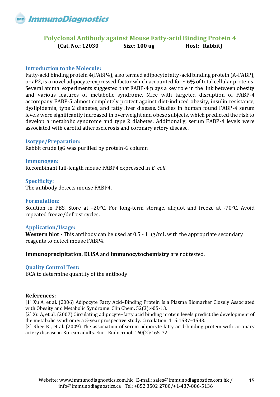

### <span id="page-14-0"></span>**Polyclonal Antibody against Mouse Fatty-acid Binding Protein 4 (Cat. No.: 12030 Size: 100 ug Host: Rabbit)**

### **Introduction to the Molecule:**

Fatty-acid binding protein 4(FABP4), also termed adipocyte fatty-acid binding protein (A-FABP), or aP2, is a novel adipocyte-expressed factor which accounted for  $\sim$ 6% of total cellular proteins. Several animal experiments suggested that FABP-4 plays a key role in the link between obesity and various features of metabolic syndrome. Mice with targeted disruption of FABP-4 accompany FABP-5 almost completely protect against diet-induced obesity, insulin resistance, dyslipidemia, type 2 diabetes, and fatty liver disease. Studies in human found FABP-4 serum levels were significantly increased in overweight and obese subjects, which predicted the risk to develop a metabolic syndrome and type 2 diabetes. Additionally, serum FABP-4 levels were associated with carotid atherosclerosis and coronary artery disease.

### **Isotype/Preparation:**

Rabbit crude IgG was purified by protein-G column

**Immunogen:** Recombinant full-length mouse FABP4 expressed in *E. coli*.

### **Specificity:**

The antibody detects mouse FABP4.

### **Formulation:**

Solution in PBS. Store at –20°C. For long-term storage, aliquot and freeze at -70°C. Avoid repeated freeze/defrost cycles.

### **Application/Usage:**

**Western blot -** This antibody can be used at 0.5 - 1 μg/mL with the appropriate secondary reagents to detect mouse FABP4.

**Immunoprecipitation**, **ELISA** and **immunocytochemistry** are not tested.

### **Quality Control Test:**

BCA to determine quantity of the antibody

### **References:**

[1] Xu A, et al. (2006) Adipocyte Fatty Acid–Binding Protein Is a Plasma Biomarker Closely Associated with Obesity and Metabolic Syndrome. Clin Chem. 52(3):405-13.

[2] Xu A, et al. (2007) Circulating adipocyte–fatty acid binding protein levels predict the development of the metabolic syndrome: a 5-year prospective study. Circulation. 115:1537–1543.

[3] Rhee EJ, et al. (2009) The association of serum adipocyte fatty acid-binding protein with coronary artery disease in Korean adults. Eur J Endocrinol. 160(2):165-72.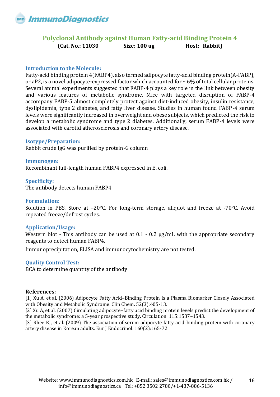

### <span id="page-15-0"></span>**Polyclonal Antibody against Human Fatty-acid Binding Protein 4 (Cat. No.: 11030 Size: 100 ug Host: Rabbit)**

### **Introduction to the Molecule:**

Fatty-acid binding protein 4(FABP4), also termed adipocyte fatty-acid binding protein(A-FABP), or aP2, is a novel adipocyte-expressed factor which accounted for  $\sim$ 6% of total cellular proteins. Several animal experiments suggested that FABP-4 plays a key role in the link between obesity and various features of metabolic syndrome. Mice with targeted disruption of FABP-4 accompany FABP-5 almost completely protect against diet-induced obesity, insulin resistance, dyslipidemia, type 2 diabetes, and fatty liver disease. Studies in human found FABP-4 serum levels were significantly increased in overweight and obese subjects, which predicted the risk to develop a metabolic syndrome and type 2 diabetes. Additionally, serum FABP-4 levels were associated with carotid atherosclerosis and coronary artery disease.

### **Isotype/Preparation:**

Rabbit crude IgG was purified by protein-G column

**Immunogen:** Recombinant full-length human FABP4 expressed in E. coli.

### **Specificity:**

The antibody detects human FABP4

### **Formulation:**

Solution in PBS. Store at –20°C. For long-term storage, aliquot and freeze at -70°C. Avoid repeated freeze/defrost cycles.

### **Application/Usage:**

Western blot - This antibody can be used at 0.1 - 0.2 μg/mL with the appropriate secondary reagents to detect human FABP4.

Immunoprecipitation, ELISA and immunocytochemistry are not tested.

### **Quality Control Test:**

BCA to determine quantity of the antibody

### **References:**

[1] Xu A, et al. (2006) Adipocyte Fatty Acid–Binding Protein Is a Plasma Biomarker Closely Associated with Obesity and Metabolic Syndrome. Clin Chem. 52(3):405-13.

[2] Xu A, et al. (2007) Circulating adipocyte–fatty acid binding protein levels predict the development of the metabolic syndrome: a 5-year prospective study. Circulation. 115:1537–1543.

[3] Rhee EJ, et al. (2009) The association of serum adipocyte fatty acid-binding protein with coronary artery disease in Korean adults. Eur J Endocrinol. 160(2):165-72.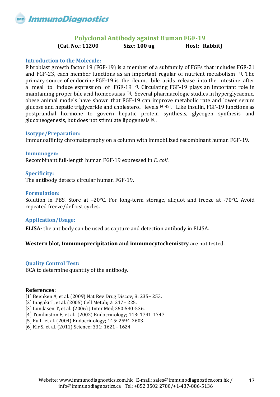

### **Polyclonal Antibody against Human FGF-19**

**(Cat. No.: 11200 Size: 100 ug Host: Rabbit)**

### <span id="page-16-0"></span>**Introduction to the Molecule:**

Fibroblast growth factor 19 (FGF-19) is a member of a subfamily of FGFs that includes FGF-21 and FGF-23, each member functions as an important regular of nutrient metabolism [1]. The primary source of endocrine FGF-19 is the ileum, bile acids release into the intestine after a meal to induce expression of FGF-19 [2]. Circulating FGF-19 plays an important role in maintaining proper bile acid homeostasis [3]. Several pharmacologic studies in hyperglycaemic, obese animal models have shown that FGF-19 can improve metabolic rate and lower serum glucose and hepatic triglyceride and cholesterol levels [4]-[5]. Like insulin, FGF-19 functions as postprandial hormone to govern hepatic protein synthesis, glycogen synthesis and gluconeogenesis, but does not stimulate lipogenesis [6].

### **Isotype/Preparation:**

Immunoaffinity chromatography on a column with immobilized recombinant human FGF-19.

**Immunogen:** Recombinant full-length human FGF-19 expressed in *E. coli*.

### **Specificity:**

The antibody detects circular human FGF-19.

### **Formulation:**

Solution in PBS. Store at –20°C. For long-term storage, aliquot and freeze at -70°C. Avoid repeated freeze/defrost cycles.

### **Application/Usage:**

**ELISA-** the antibody can be used as capture and detection antibody in ELISA.

### **Western blot, Immunoprecipitation and immunocytochemistry** are not tested.

### **Quality Control Test:**

BCA to determine quantity of the antibody.

### **References:**

[1] Beenken A, et al. (2009) Nat Rev Drug Discov; 8: 235– 253.

[2] Inagaki T, et al. (2005) Cell Metab; 2: 217– 225.

[3] Lundasen T, et al. (2006) J Inter Med; 260: 530- 536.

[4] Tomlinston E, et al. (2002) Endocrinology; 143: 1741-1747.

[5] Fu L, et al. (2004) Endocrinology; 145: 2594-2603.

[6] Kir S, et al. (2011) Science; 331: 1621– 1624.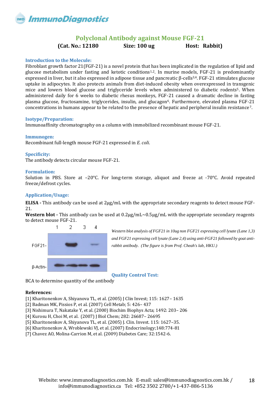

### **Polyclonal Antibody against Mouse FGF-21**

**(Cat. No.: 12180 Size: 100 ug Host: Rabbit)**

#### <span id="page-17-0"></span>**Introduction to the Molecule:**

Fibroblast growth factor 21(FGF-21) is a novel protein that has been implicated in the regulation of lipid and glucose metabolism under fasting and ketotic conditions<sup>1,2</sup>. In murine models, FGF-21 is predominantly expressed in liver, but it also expressed in adipose tissue and pancreatic β-cells3,4. FGF-21 stimulates glucose uptake in adipocytes. It also protects animals from diet-induced obesity when overexpressed in transgenic mice and lowers blood glucose and triglyceride levels when administered to diabetic rodents<sup>5</sup>. When administered daily for 6 weeks to diabetic rhesus monkeys, FGF-21 caused a dramatic decline in fasting plasma glucose, fructosamine, triglycerides, insulin, and glucagon6. Furthermore, elevated plasma FGF-21 concentrations in humans appear to be related to the presence of hepatic and peripheral insulin resistance7.

#### **Isotype/Preparation:**

Immunoaffinity chromatography on a column with immobilized recombinant mouse FGF-21.

#### **Immunogen:**

Recombinant full-length mouse FGF-21 expressed in *E. coli*.

#### **Specificity:**

The antibody detects circular mouse FGF-21.

#### **Formulation:**

Solution in PBS. Store at –20°C. For long-term storage, aliquot and freeze at -70°C. Avoid repeated freeze/defrost cycles.

### **Application/Usage:**

**ELISA -** This antibody can be used at 2μg/mL with the appropriate secondary reagents to detect mouse FGF-21.

**Western blot -** This antibody can be used at 0.2μg/mL~0.5μg/mL with the appropriate secondary reagents to detect mouse FGF-21.



*Western blot analysis of FGF21 in 10ug non FGF21 expressing cell lysate (Lane 1,3) and FGF21 expressing cell lysate (Lane 2,4) using anti-FGF21 followed by goat antirabbit antibody. (The figure is from Prof. Cheah's lab, HKU.)*

**Quality Control Test:**

BCA to determine quantity of the antibody

#### **References:**

- [1] Kharitonenkov A, Shiyanova TL, et al. (2005) J Clin Invest; 115: 1627– 1635
- [2] Badman MK, Pissios P, et al. (2007) Cell Metab; 5: 426– 437
- [3] Nishimura T, Nakatake Y, et al. (2000) Biochim Biophys Acta; 1492: 203– 206
- [4] Kurosu H, Choi M, et al. (2007) J Biol Chem; 282: 26687– 26695
- [5] Kharitonenkov A, Shiyanova TL, et al. (2005) J. Clin. Invest. 115: 1627–35.
- [6] Kharitonenkov A, Wroblewski VJ, et al. (2007) Endocrinology;148:774-81
- [7] Chavez AO, Molina-Carrion M, et al. (2009) Diabetes Care; 32:1542-6.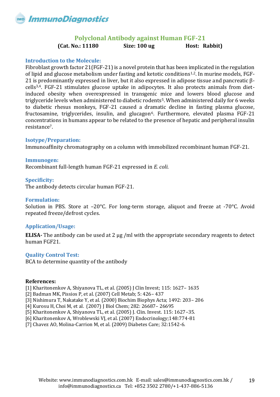

### **Polyclonal Antibody against Human FGF-21**

**(Cat. No.: 11180 Size: 100 ug Host: Rabbit)**

### <span id="page-18-0"></span>**Introduction to the Molecule:**

Fibroblast growth factor 21(FGF-21) is a novel protein that has been implicated in the regulation of lipid and glucose metabolism under fasting and ketotic conditions1,2. In murine models, FGF-21 is predominantly expressed in liver, but it also expressed in adipose tissue and pancreatic βcells3,4. FGF-21 stimulates glucose uptake in adipocytes. It also protects animals from dietinduced obesity when overexpressed in transgenic mice and lowers blood glucose and triglyceride levels when administered to diabetic rodents<sup>5</sup>. When administered daily for 6 weeks to diabetic rhesus monkeys, FGF-21 caused a dramatic decline in fasting plasma glucose, fructosamine, triglycerides, insulin, and glucagon<sup>6</sup>. Furthermore, elevated plasma FGF-21 concentrations in humans appear to be related to the presence of hepatic and peripheral insulin resistance7.

### **Isotype/Preparation:**

Immunoaffinity chromatography on a column with immobilized recombinant human FGF-21.

### **Immunogen:**

Recombinant full-length human FGF-21 expressed in *E. coli*.

### **Specificity:**

The antibody detects circular human FGF-21.

### **Formulation:**

Solution in PBS. Store at –20°C. For long-term storage, aliquot and freeze at -70°C. Avoid repeated freeze/defrost cycles.

### **Application/Usage:**

**ELISA-** The antibody can be used at 2 μg /ml with the appropriate secondary reagents to detect human FGF21.

### **Quality Control Test:**

BCA to determine quantity of the antibody

### **References:**

[1] Kharitonenkov A, Shiyanova TL, et al. (2005) J Clin Invest; 115: 1627– 1635

- [2] Badman MK, Pissios P, et al. (2007) Cell Metab; 5: 426– 437
- [3] Nishimura T, Nakatake Y, et al. (2000) Biochim Biophys Acta; 1492: 203– 206
- [4] Kurosu H, Choi M, et al. (2007) J Biol Chem; 282: 26687– 26695
- [5] Kharitonenkov A, Shiyanova TL, et al. (2005) J. Clin. Invest. 115: 1627–35.
- [6] Kharitonenkov A, Wroblewski VJ, et al. (2007) Endocrinology;148:774-81

[7] Chavez AO, Molina-Carrion M, et al. (2009) Diabetes Care; 32:1542-6.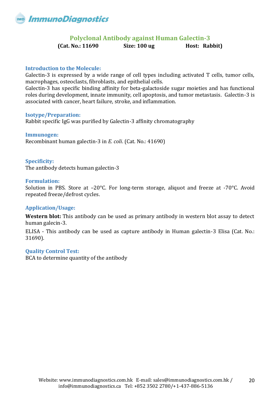<span id="page-19-0"></span>

### **Polyclonal Antibody against Human Galectin-3**

**(Cat. No.: 11690 Size: 100 ug Host: Rabbit)**

### **Introduction to the Molecule:**

Galectin-3 is expressed by a wide range of cell types including activated T cells, tumor cells, macrophages, osteoclasts, fibroblasts, and epithelial cells.

Galectin-3 has specific binding affinity for beta-galactoside sugar moieties and has functional roles during development, innate immunity, cell apoptosis, and tumor metastasis. Galectin-3 is associated with cancer, heart failure, stroke, and inflammation.

### **Isotype/Preparation:**

Rabbit specific IgG was purified by Galectin-3 affinity chromatography

### **Immunogen:**

Recombinant human galectin-3 in *E. coli*. (Cat. No.: 41690)

### **Specificity:**

The antibody detects human galectin-3

### **Formulation:**

Solution in PBS. Store at –20°C. For long-term storage, aliquot and freeze at -70°C. Avoid repeated freeze/defrost cycles.

### **Application/Usage:**

**Western blot:** This antibody can be used as primary antibody in western blot assay to detect human galecin-3.

ELISA - This antibody can be used as capture antibody in Human galectin-3 Elisa (Cat. No.: 31690).

### **Quality Control Test:**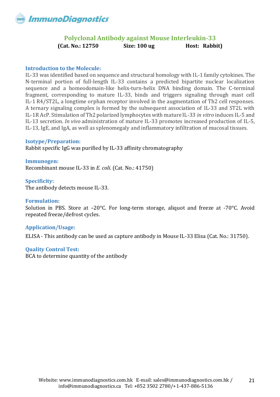### **Polyclonal Antibody against Mouse Interleukin-33 (Cat. No.: 12750 Size: 100 ug Host: Rabbit)**

### <span id="page-20-0"></span>**Introduction to the Molecule:**

IL-33 was identified based on sequence and structural homology with IL-1 family cytokines. The N-terminal portion of full-length IL-33 contains a predicted bipartite nuclear localization sequence and a homeodomain-like helix-turn-helix DNA binding domain. The C-terminal fragment, corresponding to mature IL-33, binds and triggers signaling through mast cell IL-1 R4/ST2L, a longtime orphan receptor involved in the augmentation of Th2 cell responses. A ternary signaling complex is formed by the subsequent association of IL-33 and ST2L with IL-1R AcP. Stimulation of Th2 polarized lymphocytes with mature IL-33 *in vitro* induces IL-5 and IL-13 secretion. *In vivo* administration of mature IL-33 promotes increased production of IL-5, IL-13, IgE, and IgA, as well as splenomegaly and inflammatory infiltration of mucosal tissues.

### **Isotype/Preparation:**

Rabbit specific IgG was purified by IL-33 affinity chromatography

**Immunogen:** Recombinant mouse IL-33 in *E. coli*. (Cat. No.: 41750)

### **Specificity:**

The antibody detects mouse IL-33.

### **Formulation:**

Solution in PBS. Store at –20°C. For long-term storage, aliquot and freeze at -70°C. Avoid repeated freeze/defrost cycles.

### **Application/Usage:**

ELISA - This antibody can be used as capture antibody in Mouse IL-33 Elisa (Cat. No.: 31750).

### **Quality Control Test:**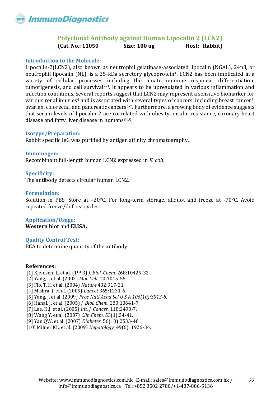### **Polyclonal Antibody against Human Lipocalin 2 (LCN2) (Cat. No.: 11050 Size: 100 ug Host: Rabbit)**

### <span id="page-21-0"></span>**Introduction to the Molecule:**

Lipocalin-2(LCN2), also known as neutrophil gelatinase-associated lipocalin (NGAL), 24p3, or neutrophil lipocalin (NL), is a 25-kDa secretory glycoprotein<sup>1</sup>. LCN2 has been implicated in a variety of cellular processes including the innate immune response, differentiation, tumorigenesis, and cell survival<sup>2-3</sup>. It appears to be upregulated in various inflammation and infection conditions. Several reports suggest that LCN2 may represent a sensitive biomarker for various renal injuries<sup>4</sup> and is associated with several types of cancers, including breast cancer<sup>5</sup>, ovarian, colorectal, and pancreatic cancers<sup>6-7</sup>. Furthermore, a growing body of evidence suggests that serum levels of lipocalin-2 are correlated with obesity, insulin resistance, coronary heart disease and fatty liver disease in humans<sup>8-10</sup>.

### **Isotype/Preparation:**

Rabbit specific IgG was purified by antigen affinity chromatography.

### **Immunogen:**

Recombinant full-length human LCN2 expressed in *E. coli*.

### **Specificity:**

The antibody detects circular human LCN2.

### **Formulation:**

Solution in PBS. Store at –20°C. For long-term storage, aliquot and freeze at -70°C. Avoid repeated freeze/defrost cycles.

### **Application/Usage: Western blot** and **ELISA.**

**Quality Control Test:**

BCA to determine quantity of the antibody

### **References:**

[1] Kjeldsen, L. et al. (1993) *J. Biol. Chem.* 268:10425-32 [2] Yang, J. et al. (2002) *Mol. Cell*. 10:1045-56. [3] Flo, T.H. et al. (2004) *Nature* 432:917-21. [4] Mishra, J. et al. (2005) *Lancet* 365:1231-6. [5] Yang, J. et al. (2009) *Proc Natl Acad Sci U S A 106(10):3913-8.* [6] Hanai, J. et al. (2005) *J. Biol. Chem.* 280:13641-7. [7] Lee, H.J. et al. (2005) *Int. J. Cancer.* 118:2490-7. [8[\] Wang Y,](http://www.ncbi.nlm.nih.gov/sites/entrez?Db=pubmed&Cmd=Search&Term=%22Wang%20Y%22%5BAuthor%5D&itool=EntrezSystem2.PEntrez.Pubmed.Pubmed_ResultsPanel.Pubmed_DiscoveryPanel.Pubmed_RVAbstractPlus) et al. (2007) *Clin Chem.* 53(1):34-41. [9] Yan QW, et al. (2007) *Diabetes.* 56(10):2533-40. [10] Milner KL, et al. (2009) *Hepatology.* 49(6): 1926-34.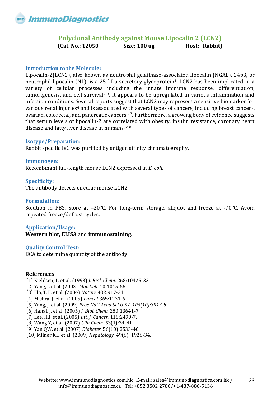### **Polyclonal Antibody against Mouse Lipocalin 2 (LCN2) (Cat. No.: 12050 Size: 100 ug Host: Rabbit)**

### <span id="page-22-0"></span>**Introduction to the Molecule:**

Lipocalin-2(LCN2), also known as neutrophil gelatinase-associated lipocalin (NGAL), 24p3, or neutrophil lipocalin (NL), is a 25-kDa secretory glycoprotein<sup>1</sup>. LCN2 has been implicated in a variety of cellular processes including the innate immune response, differentiation, tumorigenesis, and cell survival<sup>2-3</sup>. It appears to be upregulated in various inflammation and infection conditions. Several reports suggest that LCN2 may represent a sensitive biomarker for various renal injuries<sup>4</sup> and is associated with several types of cancers, including breast cancer<sup>5</sup>, ovarian, colorectal, and pancreatic cancers6-7. Furthermore, a growing body of evidence suggests that serum levels of lipocalin-2 are correlated with obesity, insulin resistance, coronary heart disease and fatty liver disease in humans $8-10$ .

### **Isotype/Preparation:**

Rabbit specific IgG was purified by antigen affinity chromatography.

**Immunogen:** Recombinant full-length mouse LCN2 expressed in *E. coli*.

### **Specificity:**

The antibody detects circular mouse LCN2.

### **Formulation:**

Solution in PBS. Store at –20°C. For long-term storage, aliquot and freeze at -70°C. Avoid repeated freeze/defrost cycles.

### **Application/Usage:**

**Western blot, ELISA** and **immunostaining.**

### **Quality Control Test:**

BCA to determine quantity of the antibody

### **References:**

[1] Kjeldsen, L. et al. (1993) *J. Biol. Chem.* 268:10425-32 [2] Yang, J. et al. (2002) *Mol. Cell*. 10:1045-56. [3] Flo, T.H. et al. (2004) *Nature* 432:917-21. [4] Mishra, J. et al. (2005) *Lancet* 365:1231-6. [5] Yang, J. et al. (2009) *Proc Natl Acad Sci U S A 106(10):3913-8.*

[6] Hanai, J. et al. (2005) *J. Biol. Chem.* 280:13641-7.

[7] Lee, H.J. et al. (2005) *Int. J. Cancer.* 118:2490-7.

[8[\] Wang Y,](http://www.ncbi.nlm.nih.gov/sites/entrez?Db=pubmed&Cmd=Search&Term=%22Wang%20Y%22%5BAuthor%5D&itool=EntrezSystem2.PEntrez.Pubmed.Pubmed_ResultsPanel.Pubmed_DiscoveryPanel.Pubmed_RVAbstractPlus) et al. (2007) *Clin Chem.* 53(1):34-41.

[9] Yan QW, et al. (2007) *Diabetes.* 56(10):2533-40.

[10] Milner KL, et al. (2009) *Hepatology.* 49(6): 1926-34.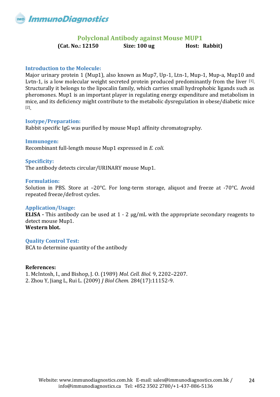<span id="page-23-0"></span>

### **Polyclonal Antibody against Mouse MUP1**

**(Cat. No.: 12150 Size: 100 ug Host: Rabbit)**

### **Introduction to the Molecule:**

Major urinary protein 1 (Mup1), also known as Mup7, Up-1, Ltn-1, Mup-1, Mup-a, Mup10 and Lvtn-1, is a low molecular weight secreted protein produced predominantly from the liver [1]. Structurally it belongs to the lipocalin family, which carries small hydrophobic ligands such as pheromones. Mup1 is an important player in regulating energy expenditure and metabolism in mice, and its deficiency might contribute to the metabolic dysregulation in obese/diabetic mice [2] .

### **Isotype/Preparation:**

Rabbit specific IgG was purified by mouse Mup1 affinity chromatography.

### **Immunogen:**

Recombinant full-length mouse Mup1 expressed in *E. coli*.

### **Specificity:**

The antibody detects circular/URINARY mouse Mup1.

### **Formulation:**

Solution in PBS. Store at –20°C. For long-term storage, aliquot and freeze at -70°C. Avoid repeated freeze/defrost cycles.

### **Application/Usage:**

**ELISA -** This antibody can be used at 1 - 2 μg/mL with the appropriate secondary reagents to detect mouse Mup1. **Western blot.**

### **Quality Control Test:**

BCA to determine quantity of the antibody

### **References:**

1. McIntosh, I., and Bishop, J. O. (1989) *Mol. Cell. Biol.* 9, 2202–2207. 2. Zhou Y, Jiang L, Rui L. (2009) *J Biol Chem.* 284(17):11152-9.

24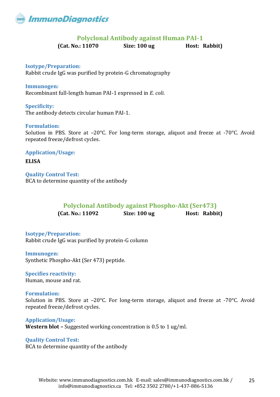<span id="page-24-0"></span>

### **Polyclonal Antibody against Human PAI-1**

**(Cat. No.: 11070 Size: 100 ug Host: Rabbit)**

**Isotype/Preparation:** Rabbit crude IgG was purified by protein-G chromatography

**Immunogen:** Recombinant full-length human PAI-1 expressed in *E. coli*.

**Specificity:** The antibody detects circular human PAI-1.

### **Formulation:**

Solution in PBS. Store at –20°C. For long-term storage, aliquot and freeze at -70°C. Avoid repeated freeze/defrost cycles.

**Application/Usage: ELISA Quality Control Test:**

<span id="page-24-1"></span>BCA to determine quantity of the antibody

### **Polyclonal Antibody against Phospho-Akt (Ser473)**

**(Cat. No.: 11092 Size: 100 ug Host: Rabbit)**

**Isotype/Preparation:** Rabbit crude IgG was purified by protein-G column

**Immunogen:** Synthetic Phospho-Akt (Ser 473) peptide.

**Specifies reactivity:** Human, mouse and rat.

**Formulation:** Solution in PBS. Store at –20°C. For long-term storage, aliquot and freeze at -70°C. Avoid repeated freeze/defrost cycles.

**Application/Usage: Western blot –** Suggested working concentration is 0.5 to 1 ug/ml.

**Quality Control Test:** BCA to determine quantity of the antibody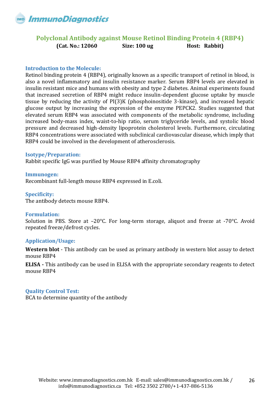

### <span id="page-25-0"></span>**Polyclonal Antibody against Mouse Retinol Binding Protein 4 (RBP4) (Cat. No.: 12060 Size: 100 ug Host: Rabbit)**

### **Introduction to the Molecule:**

Retinol binding protein 4 (RBP4), originally known as a specific transport of retinol in blood, is also a novel inflammatory and insulin resistance marker. Serum RBP4 levels are elevated in insulin resistant mice and humans with obesity and type 2 diabetes. Animal experiments found that increased secretion of RBP4 might reduce insulin-dependent glucose uptake by muscle tissue by reducing the activity of PI(3)K (phosphoinositide 3-kinase), and increased hepatic glucose output by increasing the expression of the enzyme PEPCK2. Studies suggested that elevated serum RBP4 was associated with components of the metabolic syndrome, including increased body-mass index, waist-to-hip ratio, serum triglyceride levels, and systolic blood pressure and decreased high-density lipoprotein cholesterol levels. Furthermore, circulating RBP4 concentrations were associated with subclinical cardiovascular disease, which imply that RBP4 could be involved in the development of atherosclerosis.

### **Isotype/Preparation:**

Rabbit specific IgG was purified by Mouse RBP4 affinity chromatography

**Immunogen:** Recombinant full-length mouse RBP4 expressed in E.coli.

#### **Specificity:**

The antibody detects mouse RBP4.

### **Formulation:**

Solution in PBS. Store at –20°C. For long-term storage, aliquot and freeze at -70°C. Avoid repeated freeze/defrost cycles.

### **Application/Usage:**

**Western blot** - This antibody can be used as primary antibody in western blot assay to detect mouse RBP4

**ELISA -** This antibody can be used in ELISA with the appropriate secondary reagents to detect mouse RBP4

### **Quality Control Test:**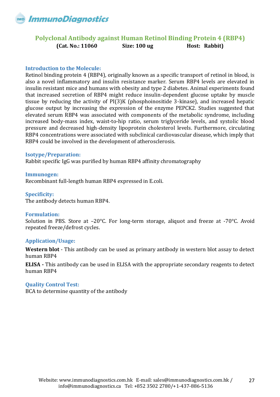

### <span id="page-26-0"></span>**Polyclonal Antibody against Human Retinol Binding Protein 4 (RBP4) (Cat. No.: 11060 Size: 100 ug Host: Rabbit)**

### **Introduction to the Molecule:**

Retinol binding protein 4 (RBP4), originally known as a specific transport of retinol in blood, is also a novel inflammatory and insulin resistance marker. Serum RBP4 levels are elevated in insulin resistant mice and humans with obesity and type 2 diabetes. Animal experiments found that increased secretion of RBP4 might reduce insulin-dependent glucose uptake by muscle tissue by reducing the activity of PI(3)K (phosphoinositide 3-kinase), and increased hepatic glucose output by increasing the expression of the enzyme PEPCK2. Studies suggested that elevated serum RBP4 was associated with components of the metabolic syndrome, including increased body-mass index, waist-to-hip ratio, serum triglyceride levels, and systolic blood pressure and decreased high-density lipoprotein cholesterol levels. Furthermore, circulating RBP4 concentrations were associated with subclinical cardiovascular disease, which imply that RBP4 could be involved in the development of atherosclerosis.

### **Isotype/Preparation:**

Rabbit specific IgG was purified by human RBP4 affinity chromatography

**Immunogen:** Recombinant full-length human RBP4 expressed in E.coli.

#### **Specificity:**

The antibody detects human RBP4.

### **Formulation:**

Solution in PBS. Store at –20°C. For long-term storage, aliquot and freeze at -70°C. Avoid repeated freeze/defrost cycles.

### **Application/Usage:**

**Western blot** - This antibody can be used as primary antibody in western blot assay to detect human RBP4

**ELISA -** This antibody can be used in ELISA with the appropriate secondary reagents to detect human RBP4

### **Quality Control Test:**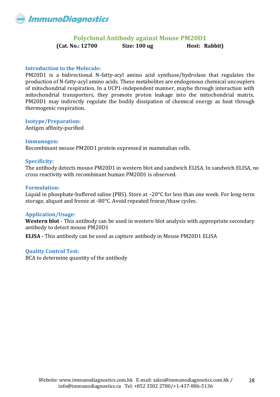<span id="page-27-0"></span>

### **Polyclonal Antibody against Mouse PM20D1**

**(Cat. No.: 12700 Size: 100 ug Host: Rabbit)**

### **Introduction to the Molecule:**

PM20D1 is a bidirectional N-fatty-acyl amino acid synthase/hydrolase that regulates the production of N-fatty-acyl amino acids. These metabolites are endogenous chemical uncouplers of mitochondrial respiration. In a UCP1-independent manner, maybe through interaction with mitochondrial transporters, they promote proton leakage into the mitochondrial matrix. PM20D1 may indirectly regulate the bodily dissipation of chemical energy as heat through thermogenic respiration.

### **Isotype/Preparation:**

Antigen affinity-purified

### **Immunogen:**

Recombinant mouse PM20D1 protein expressed in mammalian cells.

### **Specificity:**

The antibody detects mouse PM20D1 in western blot and sandwich ELISA. In sandwich ELISA, no cross reactivity with recombinant human PM20D1 is observed.

### **Formulation:**

Liquid in phosphate-buffered saline (PBS). Store at -20°C for less than one week. For long-term storage, aliquot and freeze at -80°C. Avoid repeated freeze/thaw cycles.

### **Application/Usage:**

**Western blot** - This antibody can be used in western blot analysis with appropriate secondary antibody to detect mouse PM20D1

**ELISA -** This antibody can be used as capture antibody in Mouse PM20D1 ELISA

### **Quality Control Test:**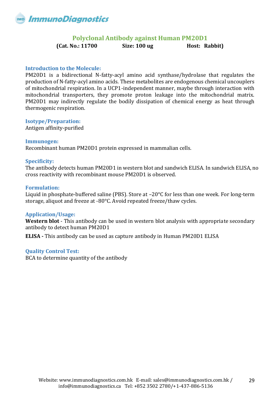<span id="page-28-0"></span>

### **Polyclonal Antibody against Human PM20D1**

**(Cat. No.: 11700 Size: 100 ug Host: Rabbit)**

### **Introduction to the Molecule:**

PM20D1 is a bidirectional N-fatty-acyl amino acid synthase/hydrolase that regulates the production of N-fatty-acyl amino acids. These metabolites are endogenous chemical uncouplers of mitochondrial respiration. In a UCP1-independent manner, maybe through interaction with mitochondrial transporters, they promote proton leakage into the mitochondrial matrix. PM20D1 may indirectly regulate the bodily dissipation of chemical energy as heat through thermogenic respiration.

### **Isotype/Preparation:**

Antigen affinity-purified

### **Immunogen:**

Recombinant human PM20D1 protein expressed in mammalian cells.

### **Specificity:**

The antibody detects human PM20D1 in western blot and sandwich ELISA. In sandwich ELISA, no cross reactivity with recombinant mouse PM20D1 is observed.

### **Formulation:**

Liquid in phosphate-buffered saline (PBS). Store at –20°C for less than one week. For long-term storage, aliquot and freeze at -80°C. Avoid repeated freeze/thaw cycles.

### **Application/Usage:**

**Western blot** - This antibody can be used in western blot analysis with appropriate secondary antibody to detect human PM20D1

**ELISA -** This antibody can be used as capture antibody in Human PM20D1 ELISA

### **Quality Control Test:**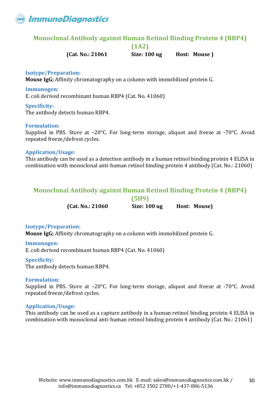

### <span id="page-29-0"></span>**Monoclonal Antibody against Human Retinol Binding Protein 4 (RBP4)**

**(1A2)**

**(Cat. No.: 21061 Size: 100 ug Host: Mouse )** 

### **Isotype/Preparation:**

**Mouse IgG;** Affinity chromatography on a column with immobilized protein G.

### **Immunogen:**

E. coli derived recombinant human RBP4 (Cat. No. 41060)

### **Specificity:**

The antibody detects human RBP4.

### **Formulation:**

Supplied in PBS. Store at –20°C. For long-term storage, aliquot and freeze at -70°C. Avoid repeated freeze/defrost cycles.

### **Application/Usage:**

This antibody can be used as a detection antibody in a human retinol binding protein 4 ELISA in combination with monoclonal anti-human retinol binding protein 4 antibody (Cat. No.: 21060)

### <span id="page-29-1"></span>**Monoclonal Antibody against Human Retinol Binding Protein 4 (RBP4)**

**(5H9)**

**(Cat. No.: 21060 Size: 100 ug Host: Mouse)** 

### **Isotype/Preparation:**

**Mouse IgG;** Affinity chromatography on a column with immobilized protein G.

**Immunogen:** E. coli derived recombinant human RBP4 (Cat. No. 41060)

### **Specificity:**

The antibody detects human RBP4.

### **Formulation:**

Supplied in PBS. Store at –20°C. For long-term storage, aliquot and freeze at -70°C. Avoid repeated freeze/defrost cycles.

### **Application/Usage:**

This antibody can be used as a capture antibody in a human retinol binding protein 4 ELISA in combination with monoclonal anti-human retinol binding protein 4 antibody (Cat. No.: 21061)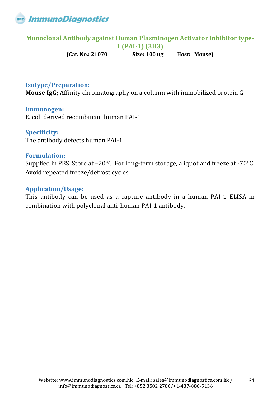

# <span id="page-30-0"></span>**Monoclonal Antibody against Human Plasminogen Activator Inhibitor type-**

**1 (PAI-1) (3H3)**

**(Cat. No.: 21070 Size: 100 ug Host: Mouse)** 

### **Isotype/Preparation:**

**Mouse IgG;** Affinity chromatography on a column with immobilized protein G.

### **Immunogen:**

E. coli derived recombinant human PAI-1

### **Specificity:**

The antibody detects human PAI-1.

### **Formulation:**

Supplied in PBS. Store at –20°C. For long-term storage, aliquot and freeze at -70°C. Avoid repeated freeze/defrost cycles.

### **Application/Usage:**

This antibody can be used as a capture antibody in a human PAI-1 ELISA in combination with polyclonal anti-human PAI-1 antibody.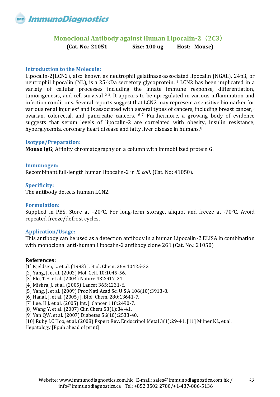<span id="page-31-0"></span>

### **Monoclonal Antibody against Human Lipocalin-2**(**2C3**) **(Cat. No.: 21051 Size: 100 ug Host: Mouse)**

### **Introduction to the Molecule:**

Lipocalin-2(LCN2), also known as neutrophil gelatinase-associated lipocalin (NGAL), 24p3, or neutrophil lipocalin (NL), is a 25-kDa secretory glycoprotein. <sup>1</sup> LCN2 has been implicated in a variety of cellular processes including the innate immune response, differentiation, tumorigenesis, and cell survival  $2-3$ . It appears to be upregulated in various inflammation and infection conditions. Several reports suggest that LCN2 may represent a sensitive biomarker for various renal injuries<sup>4</sup> and is associated with several types of cancers, including breast cancer,<sup>5</sup> ovarian, colorectal, and pancreatic cancers. 6-7 Furthermore, a growing body of evidence suggests that serum levels of lipocalin-2 are correlated with obesity, insulin resistance, hyperglycemia, coronary heart disease and fatty liver disease in humans.<sup>8</sup>

### **Isotype/Preparation:**

**Mouse IgG;** Affinity chromatography on a column with immobilized protein G.

**Immunogen:** Recombinant full-length human lipocalin-2 in *E. coli*. (Cat. No: 41050).

### **Specificity:**

The antibody detects human LCN2.

### **Formulation:**

Supplied in PBS. Store at –20°C. For long-term storage, aliquot and freeze at -70°C. Avoid repeated freeze/defrost cycles.

### **Application/Usage:**

This antibody can be used as a detection antibody in a human Lipocalin-2 ELISA in combination with monoclonal anti-human Lipocalin-2 antibody clone 2G1 (Cat. No.: 21050)

### **References:**

- [1] Kjeldsen, L. et al. (1993) J. Biol. Chem. 268:10425-32
- [2] Yang, J. et al. (2002) Mol. Cell. 10:1045-56.
- [3] Flo, T.H. et al. (2004) Nature 432:917-21.
- [4] Mishra, J. et al. (2005) Lancet 365:1231-6.
- [5] Yang, J. et al. (2009) Proc Natl Acad Sci U S A 106(10):3913-8.
- [6] Hanai, J. et al. (2005) J. Biol. Chem. 280:13641-7.
- [7] Lee, H.J. et al. (2005) Int. J. Cancer 118:2490-7.
- [8] Wang Y, et al. (2007) Clin Chem 53(1):34-41.
- [9] Yan QW, et al. (2007) Diabetes 56(10):2533-40.

[10] Ruby LC Hoo, et al. (2008) Expert Rev. Endocrinol Metal 3(1):29-41. [11] Milner KL, et al.

Hepatology [Epub ahead of print]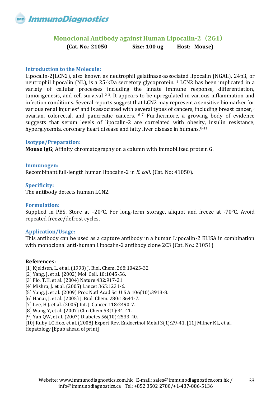<span id="page-32-0"></span>

### **Monoclonal Antibody against Human Lipocalin-2**(**2G1**) **(Cat. No.: 21050 Size: 100 ug Host: Mouse)**

### **Introduction to the Molecule:**

Lipocalin-2(LCN2), also known as neutrophil gelatinase-associated lipocalin (NGAL), 24p3, or neutrophil lipocalin (NL), is a 25-kDa secretory glycoprotein. <sup>1</sup> LCN2 has been implicated in a variety of cellular processes including the innate immune response, differentiation, tumorigenesis, and cell survival  $2-3$ . It appears to be upregulated in various inflammation and infection conditions. Several reports suggest that LCN2 may represent a sensitive biomarker for various renal injuries<sup>4</sup> and is associated with several types of cancers, including breast cancer,<sup>5</sup> ovarian, colorectal, and pancreatic cancers. 6-7 Furthermore, a growing body of evidence suggests that serum levels of lipocalin-2 are correlated with obesity, insulin resistance, hyperglycemia, coronary heart disease and fatty liver disease in humans. 8-11

### **Isotype/Preparation:**

**Mouse IgG;** Affinity chromatography on a column with immobilized protein G.

**Immunogen:** Recombinant full-length human lipocalin-2 in *E. coli*. (Cat. No: 41050).

### **Specificity:**

The antibody detects human LCN2.

### **Formulation:**

Supplied in PBS. Store at –20°C. For long-term storage, aliquot and freeze at -70°C. Avoid repeated freeze/defrost cycles.

### **Application/Usage:**

This antibody can be used as a capture antibody in a human Lipocalin-2 ELISA in combination with monoclonal anti-human Lipocalin-2 antibody clone 2C3 (Cat. No.: 21051)

### **References:**

[1] Kjeldsen, L. et al. (1993) J. Biol. Chem. 268:10425-32 [2] Yang, J. et al. (2002) Mol. Cell. 10:1045-56. [3] Flo, T.H. et al. (2004) Nature 432:917-21. [4] Mishra, J. et al. (2005) Lancet 365:1231-6. [5] Yang, J. et al. (2009) Proc Natl Acad Sci U S A 106(10):3913-8. [6] Hanai, J. et al. (2005) J. Biol. Chem. 280:13641-7. [7] Lee, H.J. et al. (2005) Int. J. Cancer 118:2490-7. [8] Wang Y, et al. (2007) Clin Chem 53(1):34-41. [9] Yan QW, et al. (2007) Diabetes 56(10):2533-40. [10] Ruby LC Hoo, et al. (2008) Expert Rev. Endocrinol Metal 3(1):29-41. [11] Milner KL, et al.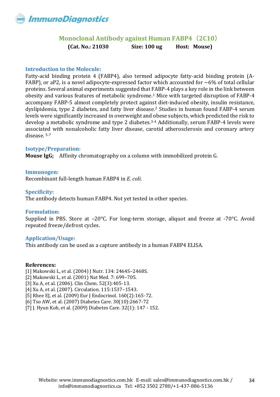<span id="page-33-0"></span>

### **Monoclonal Antibody against Human FABP4**(**2C10**) **(Cat. No.: 21030 Size: 100 ug Host: Mouse)**

### **Introduction to the Molecule:**

Fatty-acid binding protein 4 (FABP4), also termed adipocyte fatty-acid binding protein (A-FABP), or aP2, is a novel adipocyte-expressed factor which accounted for  $\sim 6\%$  of total cellular proteins. Several animal experiments suggested that FABP-4 plays a key role in the link between obesity and various features of metabolic syndrome.<sup>1</sup> Mice with targeted disruption of FABP-4 accompany FABP-5 almost completely protect against diet-induced obesity, insulin resistance, dyslipidemia, type 2 diabetes, and fatty liver disease.<sup>2</sup> Studies in human found FABP-4 serum levels were significantly increased in overweight and obese subjects, which predicted the risk to develop a metabolic syndrome and type 2 diabetes.<sup>3-4</sup> Additionally, serum FABP-4 levels were associated with nonalcoholic fatty liver disease, carotid atherosclerosis and coronary artery disease. 5-7

### **Isotype/Preparation:**

**Mouse IgG;** Affinity chromatography on a column with immobilized protein G.

### **Immunogen:**

Recombinant full-length human FABP4 in *E. coli*.

### **Specificity:**

The antibody detects human FABP4. Not yet tested in other species.

### **Formulation:**

Supplied in PBS. Store at –20°C. For long-term storage, aliquot and freeze at -70°C. Avoid repeated freeze/defrost cycles.

### **Application/Usage:**

This antibody can be used as a capture antibody in a human FABP4 ELISA.

### **References:**

[1] Makowski L, et al. (2004) J Nutr. 134: 2464S–2468S.

- [2] Makowski L, et al. (2001) Nat Med. 7: 699–705.
- [3] Xu A, et al. (2006). Clin Chem. 52(3):405-13.
- [4] Xu A, et al. (2007). Circulation. 115:1537–1543.
- [5] Rhee EJ, et al. (2009) Eur J Endocrinol. 160(2):165-72.
- [6] Tso AW, et al. (2007) Diabetes Care. 30(10):2667-72
- [7] J. Hyun Koh, et al. (2009) Diabetes Care. 32(1): 147 152.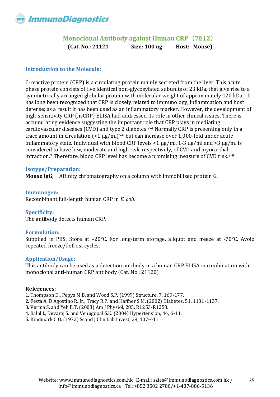<span id="page-34-0"></span>

### **Monoclonal Antibody against Human CRP**(**7E12**) **(Cat. No.: 21121 Size: 100 ug Host: Mouse)**

### **Introduction to the Molecule:**

C-reactive protein (CRP) is a circulating protein mainly secreted from the liver. This acute phase protein consists of five identical non-glycosylated subunits of 23 kDa, that give rise to a symmetrically arranged globular protein with molecular weight of approximately 120 kDa.<sup>1</sup> It has long been recognized that CRP is closely related to immunology, inflammation and host defense; as a result it has been used as an inflammatory marker. However, the development of high-sensitivity CRP (hsCRP) ELISA had addressed its role in other clinical issues. There is accumulating evidence suggesting the important role that CRP plays in mediating cardiovascular diseases (CVD) and type 2 diabetes.2-4 Normally CRP is presenting only in a trace amount in circulation  $\left($  <1 µg/ml $\right)$ <sup>5-6</sup> but can increase over 1,000-fold under acute inflammatory state. Individual with blood CRP levels  $\langle 1 \mu g/ml$ , 1-3  $\mu g/ml$  and  $\langle 3 \mu g/ml$  is considered to have low, moderate and high risk, respectively, of CVD and myocardial infraction.<sup>7</sup> Therefore, blood CRP level has become a promising measure of CVD risk.<sup>8-9</sup>

### **Isotype/Preparation:**

**Mouse IgG;** Affinity chromatography on a column with immobilized protein G.

**Immunogen:** Recombinant full-length human CRP in *E. coli*.

**Specificity:** The antibody detects human CRP.

### **Formulation:**

Supplied in PBS. Store at –20°C. For long-term storage, aliquot and freeze at -70°C. Avoid repeated freeze/defrost cycles.

### **Application/Usage:**

This antibody can be used as a detection antibody in a human CRP ELISA in combination with monoclonal anti-human CRP antibody (Cat. No.: 21120)

### **References:**

- 1. Thompson D., Pepys M.B. and Wood S.P. (1999) Structure, 7, 169-177.
- 2. Festa A, D'Agostino R. Jr., Tracy R.P. and Haffner S.M. (2002) Diabetes, 51, 1131-1137.
- 3. Verma S. and Yeh E.T. (2003) Am J Physiol, 285, R1253-R1258.
- 4. Jialal I., Devaraj S. and Venugopal S.K. (2004) Hypertension, 44, 6-11.
- 5. Kindmark C.O. (1972) Scand J Clin Lab Invest, 29, 407-411.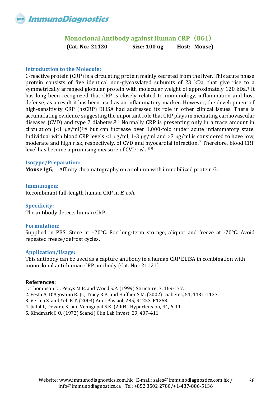### **Monoclonal Antibody against Human CRP**(**8G1**) **(Cat. No.: 21120 Size: 100 ug Host: Mouse)**

### <span id="page-35-0"></span>**Introduction to the Molecule:**

C-reactive protein (CRP) is a circulating protein mainly secreted from the liver. This acute phase protein consists of five identical non-glycosylated subunits of 23 kDa, that give rise to a symmetrically arranged globular protein with molecular weight of approximately 120 kDa.<sup>1</sup> It has long been recognized that CRP is closely related to immunology, inflammation and host defense; as a result it has been used as an inflammatory marker. However, the development of high-sensitivity CRP (hsCRP) ELISA had addressed its role in other clinical issues. There is accumulating evidence suggesting the important role that CRP plays in mediating cardiovascular diseases (CVD) and type 2 diabetes.2-4 Normally CRP is presenting only in a trace amount in circulation  $\leq 1$  ug/ml)<sup>5-6</sup> but can increase over 1,000-fold under acute inflammatory state. Individual with blood CRP levels <1  $\mu$ g/ml, 1-3  $\mu$ g/ml and >3  $\mu$ g/ml is considered to have low, moderate and high risk, respectively, of CVD and myocardial infraction.<sup>7</sup> Therefore, blood CRP level has become a promising measure of CVD risk.8-9

### **Isotype/Preparation:**

**Mouse IgG;** Affinity chromatography on a column with immobilized protein G.

**Immunogen:** Recombinant full-length human CRP in *E. coli*.

### **Specificity:**

The antibody detects human CRP.

### **Formulation:**

Supplied in PBS. Store at –20°C. For long-term storage, aliquot and freeze at -70°C. Avoid repeated freeze/defrost cycles.

### **Application/Usage:**

This antibody can be used as a capture antibody in a human CRP ELISA in combination with monoclonal anti-human CRP antibody (Cat. No.: 21121)

### **References:**

- 1. Thompson D., Pepys M.B. and Wood S.P. (1999) Structure, 7, 169-177.
- 2. Festa A, D'Agostino R. Jr., Tracy R.P. and Haffner S.M. (2002) Diabetes, 51, 1131-1137.
- 3. Verma S. and Yeh E.T. (2003) Am J Physiol, 285, R1253-R1258.
- 4. Jialal I., Devaraj S. and Venugopal S.K. (2004) Hypertension, 44, 6-11.
- 5. Kindmark C.O. (1972) Scand J Clin Lab Invest, 29, 407-411.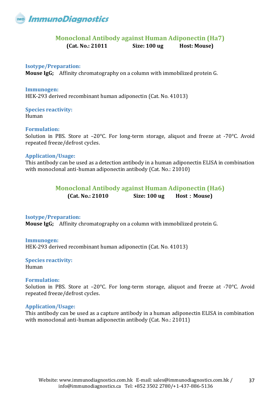<span id="page-36-0"></span>

### **Monoclonal Antibody against Human Adiponectin (Ha7)**

**(Cat. No.: 21011 Size: 100 ug Host: Mouse)** 

### **Isotype/Preparation:**

**Mouse IgG;** Affinity chromatography on a column with immobilized protein G.

**Immunogen:** HEK-293 derived recombinant human adiponectin (Cat. No. 41013)

**Species reactivity:**  Human

### **Formulation:**

Solution in PBS. Store at –20°C. For long-term storage, aliquot and freeze at -70°C. Avoid repeated freeze/defrost cycles.

### **Application/Usage:**

<span id="page-36-1"></span>This antibody can be used as a detection antibody in a human adiponectin ELISA in combination with monoclonal anti-human adiponectin antibody (Cat. No.: 21010)

### **Monoclonal Antibody against Human Adiponectin (Ha6)**

**(Cat. No.: 21010 Size: 100 ug Host**:**Mouse)** 

### **Isotype/Preparation:**

**Mouse IgG;** Affinity chromatography on a column with immobilized protein G.

### **Immunogen:**

HEK-293 derived recombinant human adiponectin (Cat. No. 41013)

**Species reactivity:**  Human

### **Formulation:**

Solution in PBS. Store at –20°C. For long-term storage, aliquot and freeze at -70°C. Avoid repeated freeze/defrost cycles.

### **Application/Usage:**

This antibody can be used as a capture antibody in a human adiponectin ELISA in combination with monoclonal anti-human adiponectin antibody (Cat. No.: 21011)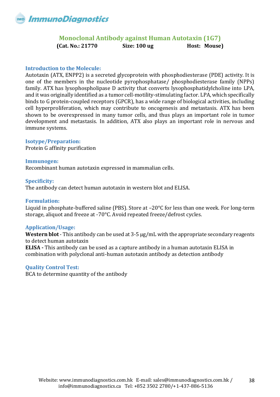### **Monoclonal Antibody against Human Autotaxin (1G7) (Cat. No.: 21770 Size: 100 ug Host: Mouse)**

### <span id="page-37-0"></span>**Introduction to the Molecule:**

Autotaxin (ATX, ENPP2) is a secreted glycoprotein with phosphodiesterase (PDE) activity. It is one of the members in the nucleotide pyrophosphatase/ phosphodiesterase family (NPPs) family. ATX has lysophospholipase D activity that converts lysophosphatidylcholine into LPA, and it was originally identified as a tumor cell-motility-stimulating factor. LPA, which specifically binds to G protein-coupled receptors (GPCR), has a wide range of biological activities, including cell hyperproliferation, which may contribute to oncogenesis and metastasis. ATX has been shown to be overexpressed in many tumor cells, and thus plays an important role in tumor development and metastasis. In addition, ATX also plays an important role in nervous and immune systems.

### **Isotype/Preparation:**

Protein G affinity purification

### **Immunogen:**

Recombinant human autotaxin expressed in mammalian cells.

### **Specificity:**

The antibody can detect human autotaxin in western blot and ELISA.

### **Formulation:**

Liquid in phosphate-buffered saline (PBS). Store at –20°C for less than one week. For long-term storage, aliquot and freeze at -70°C. Avoid repeated freeze/defrost cycles.

### **Application/Usage:**

**Western blot** - This antibody can be used at 3-5 μg/mL with the appropriate secondary reagents to detect human autotaxin **ELISA -** This antibody can be used as a capture antibody in a human autotaxin ELISA in combination with polyclonal anti-human autotaxin antibody as detection antibody

### **Quality Control Test:**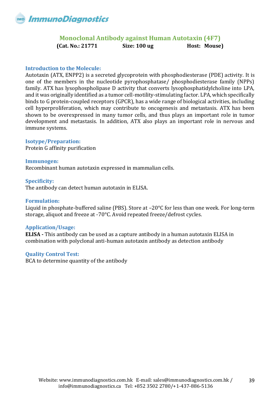### **Monoclonal Antibody against Human Autotaxin (4F7) (Cat. No.: 21771 Size: 100 ug Host: Mouse)**

### <span id="page-38-0"></span>**Introduction to the Molecule:**

Autotaxin (ATX, ENPP2) is a secreted glycoprotein with phosphodiesterase (PDE) activity. It is one of the members in the nucleotide pyrophosphatase/ phosphodiesterase family (NPPs) family. ATX has lysophospholipase D activity that converts lysophosphatidylcholine into LPA, and it was originally identified as a tumor cell-motility-stimulating factor. LPA, which specifically binds to G protein-coupled receptors (GPCR), has a wide range of biological activities, including cell hyperproliferation, which may contribute to oncogenesis and metastasis. ATX has been shown to be overexpressed in many tumor cells, and thus plays an important role in tumor development and metastasis. In addition, ATX also plays an important role in nervous and immune systems.

### **Isotype/Preparation:**

Protein G affinity purification

### **Immunogen:**

Recombinant human autotaxin expressed in mammalian cells.

### **Specificity:**

The antibody can detect human autotaxin in ELISA.

### **Formulation:**

Liquid in phosphate-buffered saline (PBS). Store at –20°C for less than one week. For long-term storage, aliquot and freeze at -70°C. Avoid repeated freeze/defrost cycles.

### **Application/Usage:**

**ELISA -** This antibody can be used as a capture antibody in a human autotaxin ELISA in combination with polyclonal anti-human autotaxin antibody as detection antibody

### **Quality Control Test:**